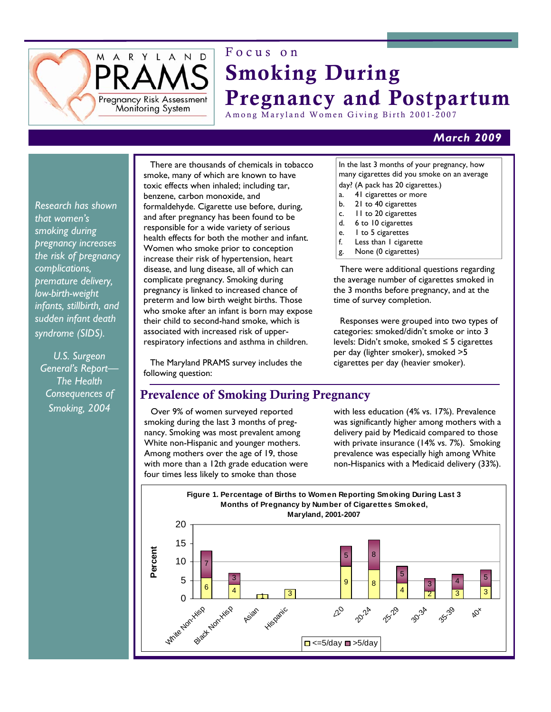

# Focus on Smoking During Pregnancy and Postpartum

Among Maryland Women Giving Birth 2001-2007

## *March 2009*

*Research has shown that women's smoking during pregnancy increases the risk of pregnancy complications, premature delivery, low-birth-weight infants, stillbirth, and sudden infant death syndrome (SIDS).* 

*U.S. Surgeon General's Report— The Health Consequences of Smoking, 2004* 

There are thousands of chemicals in tobacco smoke, many of which are known to have toxic effects when inhaled; including tar, benzene, carbon monoxide, and formaldehyde. Cigarette use before, during, and after pregnancy has been found to be responsible for a wide variety of serious health effects for both the mother and infant. Women who smoke prior to conception increase their risk of hypertension, heart disease, and lung disease, all of which can complicate pregnancy. Smoking during pregnancy is linked to increased chance of preterm and low birth weight births. Those who smoke after an infant is born may expose their child to second-hand smoke, which is associated with increased risk of upperrespiratory infections and asthma in children.

The Maryland PRAMS survey includes the following question:

### In the last 3 months of your pregnancy, how many cigarettes did you smoke on an average day? (A pack has 20 cigarettes.)

- a. 41 cigarettes or more
- b. 21 to 40 cigarettes
- c. 11 to 20 cigarettes
- d. 6 to 10 cigarettes
- e. 1 to 5 cigarettes
- f. Less than 1 cigarette
- g. None (0 cigarettes)

There were additional questions regarding the average number of cigarettes smoked in the 3 months before pregnancy, and at the time of survey completion.

Responses were grouped into two types of categories: smoked/didn't smoke or into 3 levels: Didn't smoke, smoked ≤ 5 cigarettes per day (lighter smoker), smoked >5 cigarettes per day (heavier smoker).

# Prevalence of Smoking During Pregnancy

Over 9% of women surveyed reported smoking during the last 3 months of pregnancy. Smoking was most prevalent among White non-Hispanic and younger mothers. Among mothers over the age of 19, those with more than a 12th grade education were four times less likely to smoke than those

with less education (4% vs. 17%). Prevalence was significantly higher among mothers with a delivery paid by Medicaid compared to those with private insurance (14% vs. 7%). Smoking prevalence was especially high among White non-Hispanics with a Medicaid delivery (33%).

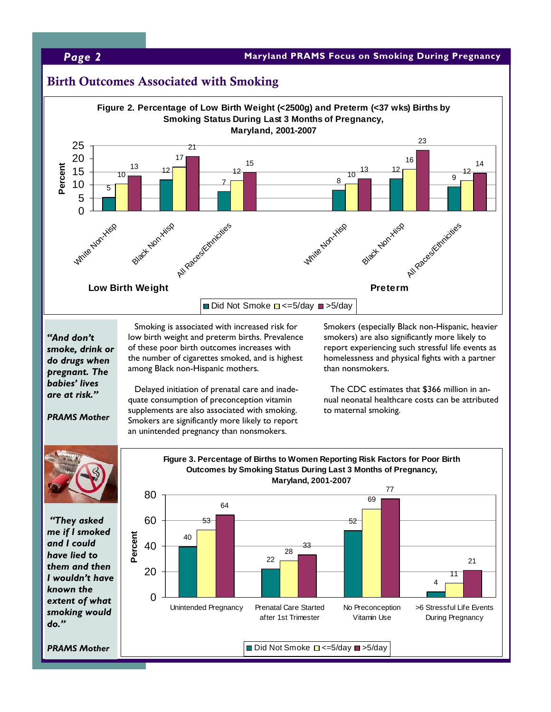## **Page 2 Maryland PRAMS** Focus on Smoking During Pregnancy **Page 2**

## Birth Outcomes Associated with Smoking

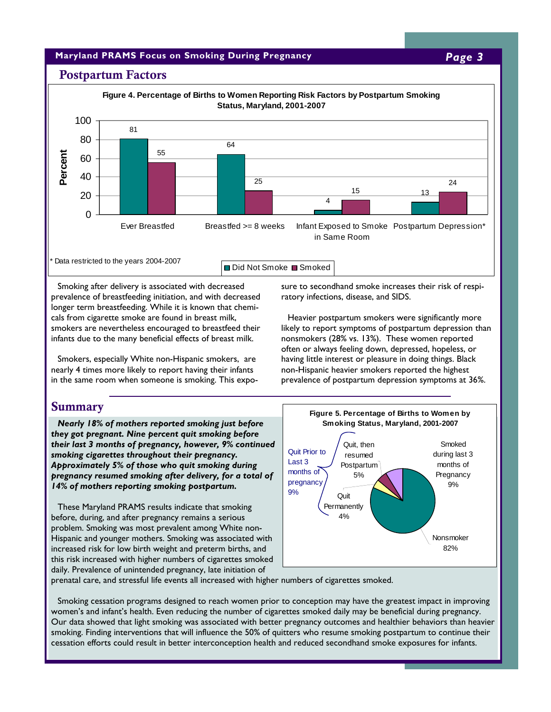### **Maryland PRAMS Focus on Smoking During Pregnancy** *Page 3*

### Postpartum Factors



Smoking after delivery is associated with decreased prevalence of breastfeeding initiation, and with decreased longer term breastfeeding. While it is known that chemicals from cigarette smoke are found in breast milk, smokers are nevertheless encouraged to breastfeed their infants due to the many beneficial effects of breast milk.

Smokers, especially White non-Hispanic smokers, are nearly 4 times more likely to report having their infants in the same room when someone is smoking. This exposure to secondhand smoke increases their risk of respiratory infections, disease, and SIDS.

Heavier postpartum smokers were significantly more likely to report symptoms of postpartum depression than nonsmokers (28% vs. 13%). These women reported often or always feeling down, depressed, hopeless, or having little interest or pleasure in doing things. Black non-Hispanic heavier smokers reported the highest prevalence of postpartum depression symptoms at 36%.

### **Summary**

*Nearly 18% of mothers reported smoking just before they got pregnant. Nine percent quit smoking before their last 3 months of pregnancy, however, 9% continued smoking cigarettes throughout their pregnancy. Approximately 5% of those who quit smoking during pregnancy resumed smoking after delivery, for a total of 14% of mothers reporting smoking postpartum.* 

These Maryland PRAMS results indicate that smoking before, during, and after pregnancy remains a serious problem. Smoking was most prevalent among White non-Hispanic and younger mothers. Smoking was associated with increased risk for low birth weight and preterm births, and this risk increased with higher numbers of cigarettes smoked daily. Prevalence of unintended pregnancy, late initiation of



prenatal care, and stressful life events all increased with higher numbers of cigarettes smoked.

Smoking cessation programs designed to reach women prior to conception may have the greatest impact in improving women's and infant's health. Even reducing the number of cigarettes smoked daily may be beneficial during pregnancy. Our data showed that light smoking was associated with better pregnancy outcomes and healthier behaviors than heavier smoking. Finding interventions that will influence the 50% of quitters who resume smoking postpartum to continue their cessation efforts could result in better interconception health and reduced secondhand smoke exposures for infants.